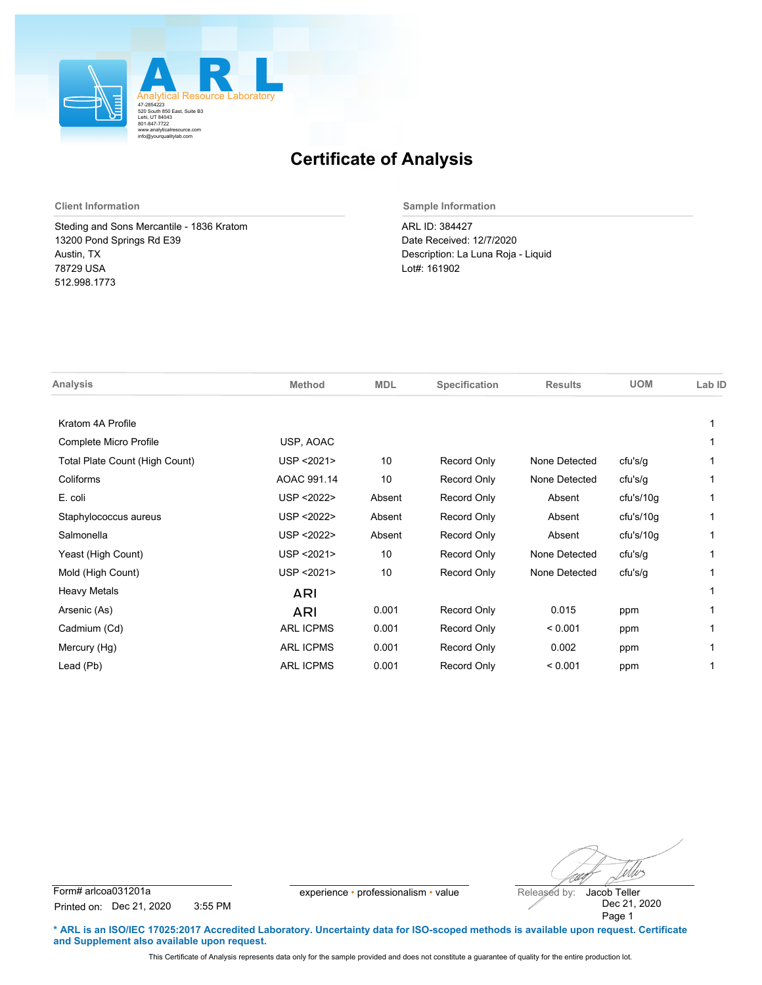

Steding and Sons Mercantile - 1836 Kratom 13200 Pond Springs Rd E39 Austin, TX 78729 USA 512.998.1773

**Client Information Sample Information**

ARL ID: 384427 Date Received: 12/7/2020 Description: La Luna Roja - Liquid Lot#: 161902

| Analysis                       | <b>Method</b>    | <b>MDL</b> | Specification | <b>Results</b> | <b>UOM</b> | Lab ID |
|--------------------------------|------------------|------------|---------------|----------------|------------|--------|
| Kratom 4A Profile              |                  |            |               |                |            |        |
| Complete Micro Profile         | USP, AOAC        |            |               |                |            |        |
| Total Plate Count (High Count) | USP <2021>       | 10         | Record Only   | None Detected  | cfu's/g    |        |
| Coliforms                      | AOAC 991.14      | 10         | Record Only   | None Detected  | cfu's/g    |        |
| E. coli                        | USP < 2022>      | Absent     | Record Only   | Absent         | cfu's/10g  |        |
| Staphylococcus aureus          | USP < 2022>      | Absent     | Record Only   | Absent         | cfu's/10g  |        |
| Salmonella                     | USP <2022>       | Absent     | Record Only   | Absent         | cfu's/10q  | 1      |
| Yeast (High Count)             | USP < 2021>      | 10         | Record Only   | None Detected  | cfu's/g    |        |
| Mold (High Count)              | USP < 2021>      | 10         | Record Only   | None Detected  | cfu's/g    |        |
| <b>Heavy Metals</b>            | ARI              |            |               |                |            |        |
| Arsenic (As)                   | ARI              | 0.001      | Record Only   | 0.015          | ppm        |        |
| Cadmium (Cd)                   | <b>ARL ICPMS</b> | 0.001      | Record Only   | < 0.001        | ppm        |        |
| Mercury (Hg)                   | <b>ARL ICPMS</b> | 0.001      | Record Only   | 0.002          | ppm        |        |
| Lead (Pb)                      | <b>ARL ICPMS</b> | 0.001      | Record Only   | < 0.001        | ppm        |        |
|                                |                  |            |               |                |            |        |

Wes

Form# arlcoa031201a experience • professionalism • value Released by: Printed on: Dec 21, 2020 3:55 PM

Dec 21, 2020 Page 1 Jacob Teller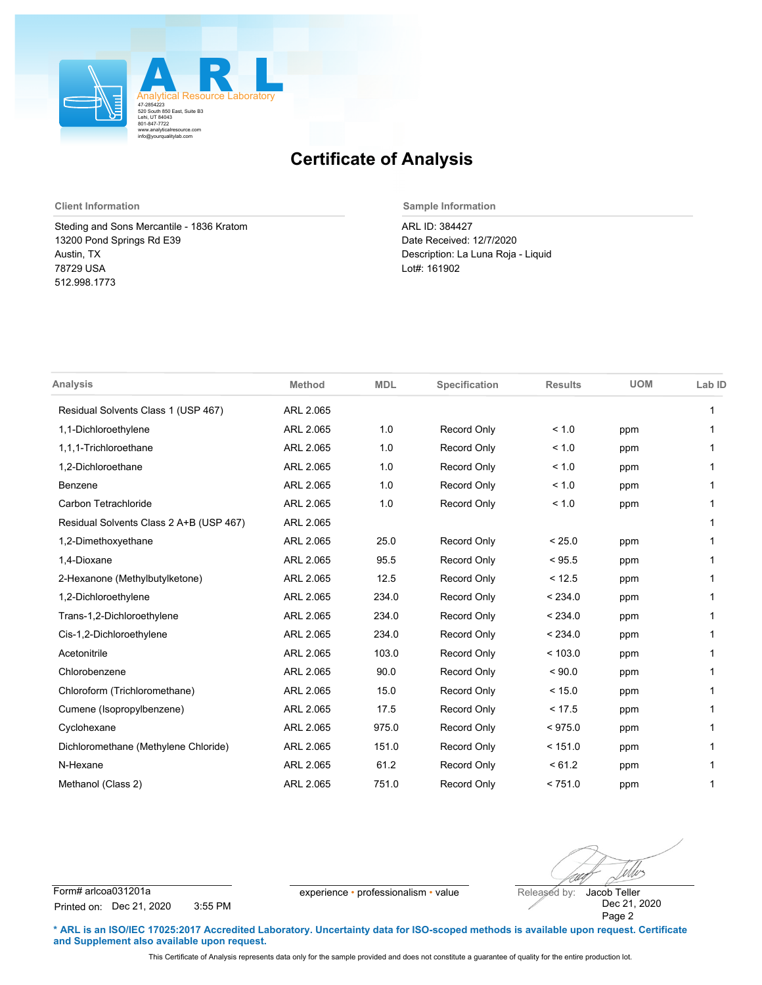

Steding and Sons Mercantile - 1836 Kratom 13200 Pond Springs Rd E39 Austin, TX 78729 USA 512.998.1773

**Client Information Sample Information**

ARL ID: 384427 Date Received: 12/7/2020 Description: La Luna Roja - Liquid Lot#: 161902

| <b>Analysis</b>                         | <b>Method</b> | <b>MDL</b> | Specification      | <b>Results</b> | <b>UOM</b> | Lab ID |
|-----------------------------------------|---------------|------------|--------------------|----------------|------------|--------|
| Residual Solvents Class 1 (USP 467)     | ARL 2.065     |            |                    |                |            | 1      |
| 1,1-Dichloroethylene                    | ARL 2.065     | 1.0        | Record Only        | < 1.0          | ppm        |        |
| 1.1.1-Trichloroethane                   | ARL 2.065     | 1.0        | Record Only        | < 1.0          | ppm        |        |
| 1,2-Dichloroethane                      | ARL 2.065     | 1.0        | Record Only        | < 1.0          | ppm        |        |
| Benzene                                 | ARL 2.065     | 1.0        | Record Only        | < 1.0          | ppm        | 1      |
| Carbon Tetrachloride                    | ARL 2.065     | 1.0        | Record Only        | < 1.0          | ppm        |        |
| Residual Solvents Class 2 A+B (USP 467) | ARL 2.065     |            |                    |                |            |        |
| 1,2-Dimethoxyethane                     | ARL 2.065     | 25.0       | Record Only        | < 25.0         | ppm        |        |
| 1,4-Dioxane                             | ARL 2.065     | 95.5       | Record Only        | < 95.5         | ppm        |        |
| 2-Hexanone (Methylbutylketone)          | ARL 2.065     | 12.5       | Record Only        | < 12.5         | ppm        |        |
| 1,2-Dichloroethylene                    | ARL 2.065     | 234.0      | Record Only        | < 234.0        | ppm        | 1      |
| Trans-1,2-Dichloroethylene              | ARL 2.065     | 234.0      | Record Only        | < 234.0        | ppm        | 1      |
| Cis-1,2-Dichloroethylene                | ARL 2.065     | 234.0      | Record Only        | < 234.0        | ppm        |        |
| Acetonitrile                            | ARL 2.065     | 103.0      | Record Only        | < 103.0        | ppm        |        |
| Chlorobenzene                           | ARL 2.065     | 90.0       | Record Only        | ${}_{5.0000}$  | ppm        |        |
| Chloroform (Trichloromethane)           | ARL 2.065     | 15.0       | Record Only        | < 15.0         | ppm        |        |
| Cumene (Isopropylbenzene)               | ARL 2.065     | 17.5       | Record Only        | < 17.5         | ppm        |        |
| Cyclohexane                             | ARL 2.065     | 975.0      | Record Only        | < 975.0        | ppm        |        |
| Dichloromethane (Methylene Chloride)    | ARL 2.065     | 151.0      | Record Only        | < 151.0        | ppm        |        |
| N-Hexane                                | ARL 2.065     | 61.2       | Record Only        | < 61.2         | ppm        |        |
| Methanol (Class 2)                      | ARL 2.065     | 751.0      | <b>Record Only</b> | < 751.0        | ppm        | 1      |

Wes

Form# arlcoa031201a experience • professionalism • value Released by: Printed on: Dec 21, 2020 3:55 PM

Dec 21, 2020 Page 2 Jacob Teller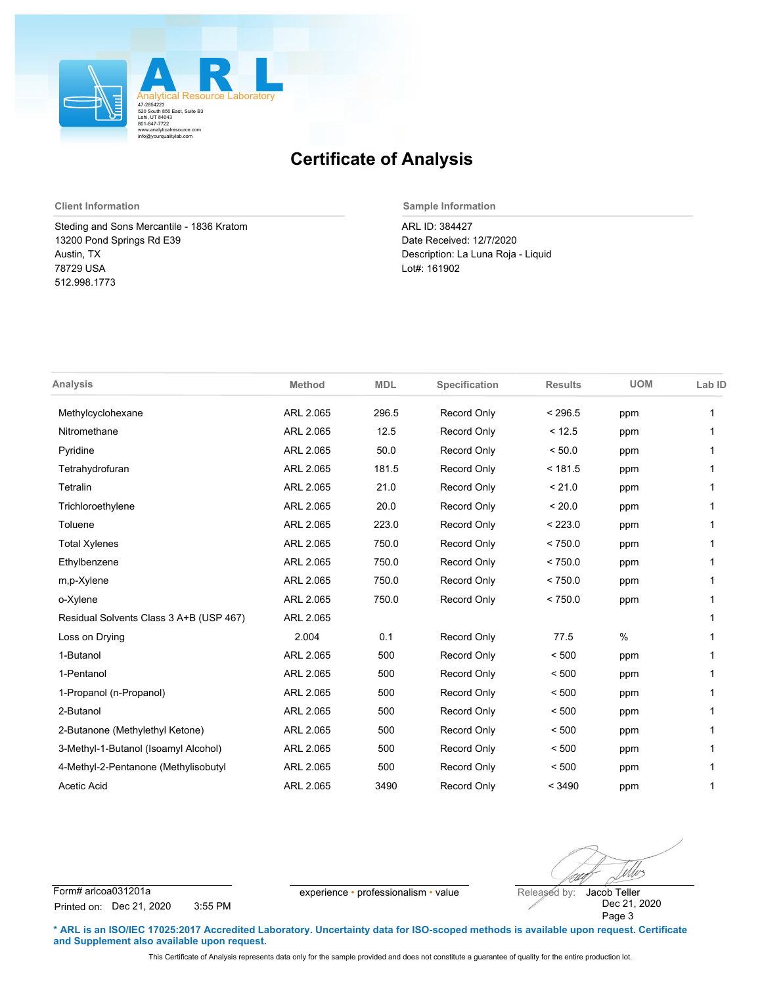

Steding and Sons Mercantile - 1836 Kratom 13200 Pond Springs Rd E39 Austin, TX 78729 USA 512.998.1773

**Client Information Sample Information**

ARL ID: 384427 Date Received: 12/7/2020 Description: La Luna Roja - Liquid Lot#: 161902

| <b>Analysis</b>                         | <b>Method</b> | <b>MDL</b> | Specification      | <b>Results</b> | <b>UOM</b> | Lab ID |
|-----------------------------------------|---------------|------------|--------------------|----------------|------------|--------|
| Methylcyclohexane                       | ARL 2.065     | 296.5      | <b>Record Only</b> | < 296.5        | ppm        | 1      |
| Nitromethane                            | ARL 2.065     | 12.5       | <b>Record Only</b> | < 12.5         | ppm        |        |
| Pyridine                                | ARL 2.065     | 50.0       | Record Only        | < 50.0         | ppm        | 1      |
| Tetrahydrofuran                         | ARL 2.065     | 181.5      | <b>Record Only</b> | < 181.5        | ppm        |        |
| Tetralin                                | ARL 2.065     | 21.0       | <b>Record Only</b> | < 21.0         | ppm        | 1      |
| Trichloroethylene                       | ARL 2.065     | 20.0       | Record Only        | < 20.0         | ppm        | 1      |
| Toluene                                 | ARL 2.065     | 223.0      | <b>Record Only</b> | < 223.0        | ppm        |        |
| <b>Total Xylenes</b>                    | ARL 2.065     | 750.0      | <b>Record Only</b> | < 750.0        | ppm        | 1      |
| Ethylbenzene                            | ARL 2.065     | 750.0      | <b>Record Only</b> | < 750.0        | ppm        | 1      |
| m,p-Xylene                              | ARL 2.065     | 750.0      | <b>Record Only</b> | < 750.0        | ppm        |        |
| o-Xylene                                | ARL 2.065     | 750.0      | <b>Record Only</b> | < 750.0        | ppm        | 1      |
| Residual Solvents Class 3 A+B (USP 467) | ARL 2.065     |            |                    |                |            | 1      |
| Loss on Drying                          | 2.004         | 0.1        | Record Only        | 77.5           | $\%$       |        |
| 1-Butanol                               | ARL 2.065     | 500        | <b>Record Only</b> | < 500          | ppm        | 1      |
| 1-Pentanol                              | ARL 2.065     | 500        | Record Only        | < 500          | ppm        | 1      |
| 1-Propanol (n-Propanol)                 | ARL 2.065     | 500        | <b>Record Only</b> | < 500          | ppm        | 1      |
| 2-Butanol                               | ARL 2.065     | 500        | <b>Record Only</b> | < 500          | ppm        | 1      |
| 2-Butanone (Methylethyl Ketone)         | ARL 2.065     | 500        | <b>Record Only</b> | < 500          | ppm        | 1      |
| 3-Methyl-1-Butanol (Isoamyl Alcohol)    | ARL 2.065     | 500        | <b>Record Only</b> | < 500          | ppm        |        |
| 4-Methyl-2-Pentanone (Methylisobutyl    | ARL 2.065     | 500        | <b>Record Only</b> | < 500          | ppm        | 1      |
| <b>Acetic Acid</b>                      | ARL 2.065     | 3490       | <b>Record Only</b> | < 3490         | ppm        | 1      |

Wes

Form# arlcoa031201a experience • professionalism • value Released by: Printed on: Dec 21, 2020 3:55 PM

Dec 21, 2020 Page 3 Jacob Teller